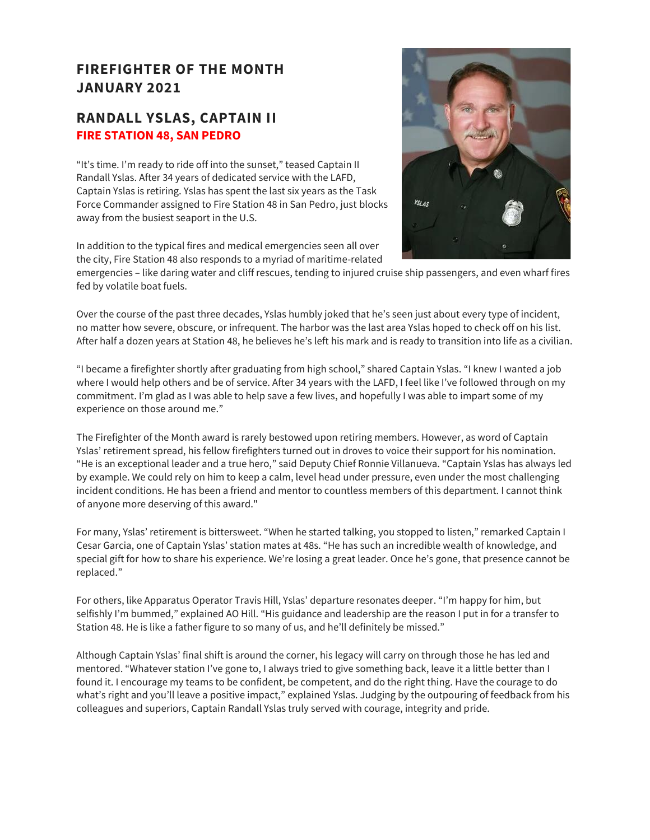### **FIREFIGHTER OF THE MONTH JANUARY 2021**

#### **RANDALL YSLAS, CAPTAIN II FIRE STATION 48, SAN PEDRO**

"It's time. I'm ready to ride off into the sunset," teased Captain II Randall Yslas. After 34 years of dedicated service with the LAFD, Captain Yslas is retiring. Yslas has spent the last six years as the Task Force Commander assigned to Fire Station 48 in San Pedro, just blocks away from the busiest seaport in the U.S.

In addition to the typical fires and medical emergencies seen all over the city, Fire Station 48 also responds to a myriad of maritime-related



emergencies – like daring water and cliff rescues, tending to injured cruise ship passengers, and even wharf fires fed by volatile boat fuels.

Over the course of the past three decades, Yslas humbly joked that he's seen just about every type of incident, no matter how severe, obscure, or infrequent. The harbor was the last area Yslas hoped to check off on his list. After half a dozen years at Station 48, he believes he's left his mark and is ready to transition into life as a civilian.

"I became a firefighter shortly after graduating from high school," shared Captain Yslas. "I knew I wanted a job where I would help others and be of service. After 34 years with the LAFD, I feel like I've followed through on my commitment. I'm glad as I was able to help save a few lives, and hopefully I was able to impart some of my experience on those around me."

The Firefighter of the Month award is rarely bestowed upon retiring members. However, as word of Captain Yslas' retirement spread, his fellow firefighters turned out in droves to voice their support for his nomination. "He is an exceptional leader and a true hero," said Deputy Chief Ronnie Villanueva. "Captain Yslas has always led by example. We could rely on him to keep a calm, level head under pressure, even under the most challenging incident conditions. He has been a friend and mentor to countless members of this department. I cannot think of anyone more deserving of this award."

For many, Yslas' retirement is bittersweet. "When he started talking, you stopped to listen," remarked Captain I Cesar Garcia, one of Captain Yslas' station mates at 48s. "He has such an incredible wealth of knowledge, and special gift for how to share his experience. We're losing a great leader. Once he's gone, that presence cannot be replaced."

For others, like Apparatus Operator Travis Hill, Yslas' departure resonates deeper. "I'm happy for him, but selfishly I'm bummed," explained AO Hill. "His guidance and leadership are the reason I put in for a transfer to Station 48. He is like a father figure to so many of us, and he'll definitely be missed."

Although Captain Yslas' final shift is around the corner, his legacy will carry on through those he has led and mentored. "Whatever station I've gone to, I always tried to give something back, leave it a little better than I found it. I encourage my teams to be confident, be competent, and do the right thing. Have the courage to do what's right and you'll leave a positive impact," explained Yslas. Judging by the outpouring of feedback from his colleagues and superiors, Captain Randall Yslas truly served with courage, integrity and pride.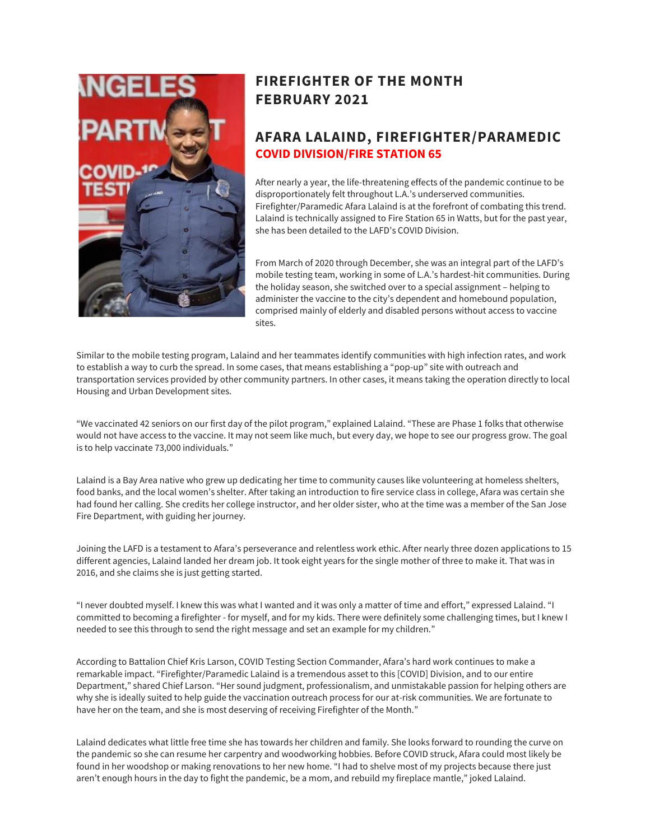

## **FIREFIGHTER OF THE MONTH FEBRUARY 2021**

#### **AFARA LALAIND, FIREFIGHTER/PARAMEDIC COVID DIVISION/FIRE STATION 65**

After nearly a year, the life-threatening effects of the pandemic continue to be disproportionately felt throughout L.A.'s underserved communities. Firefighter/Paramedic Afara Lalaind is at the forefront of combating this trend. Lalaind is technically assigned to Fire Station 65 in Watts, but for the past year, she has been detailed to the LAFD's COVID Division.

From March of 2020 through December, she was an integral part of the LAFD's mobile testing team, working in some of L.A.'s hardest-hit communities. During the holiday season, she switched over to a special assignment – helping to administer the vaccine to the city's dependent and homebound population, comprised mainly of elderly and disabled persons without access to vaccine sites.

Similar to the mobile testing program, Lalaind and her teammates identify communities with high infection rates, and work to establish a way to curb the spread. In some cases, that means establishing a "pop-up" site with outreach and transportation services provided by other community partners. In other cases, it means taking the operation directly to local Housing and Urban Development sites.

"We vaccinated 42 seniors on our first day of the pilot program," explained Lalaind. "These are Phase 1 folks that otherwise would not have access to the vaccine. It may not seem like much, but every day, we hope to see our progress grow. The goal is to help vaccinate 73,000 individuals."

Lalaind is a Bay Area native who grew up dedicating her time to community causes like volunteering at homeless shelters, food banks, and the local women's shelter. After taking an introduction to fire service class in college, Afara was certain she had found her calling. She credits her college instructor, and her older sister, who at the time was a member of the San Jose Fire Department, with guiding her journey.

Joining the LAFD is a testament to Afara's perseverance and relentless work ethic. After nearly three dozen applications to 15 different agencies, Lalaind landed her dream job. It took eight years for the single mother of three to make it. That was in 2016, and she claims she is just getting started.

"I never doubted myself. I knew this was what I wanted and it was only a matter of time and effort," expressed Lalaind. "I committed to becoming a firefighter - for myself, and for my kids. There were definitely some challenging times, but I knew I needed to see this through to send the right message and set an example for my children."

According to Battalion Chief Kris Larson, COVID Testing Section Commander, Afara's hard work continues to make a remarkable impact. "Firefighter/Paramedic Lalaind is a tremendous asset to this [COVID] Division, and to our entire Department," shared Chief Larson. "Her sound judgment, professionalism, and unmistakable passion for helping others are why she is ideally suited to help guide the vaccination outreach process for our at-risk communities. We are fortunate to have her on the team, and she is most deserving of receiving Firefighter of the Month."

Lalaind dedicates what little free time she has towards her children and family. She looks forward to rounding the curve on the pandemic so she can resume her carpentry and woodworking hobbies. Before COVID struck, Afara could most likely be found in her woodshop or making renovations to her new home. "I had to shelve most of my projects because there just aren't enough hours in the day to fight the pandemic, be a mom, and rebuild my fireplace mantle," joked Lalaind.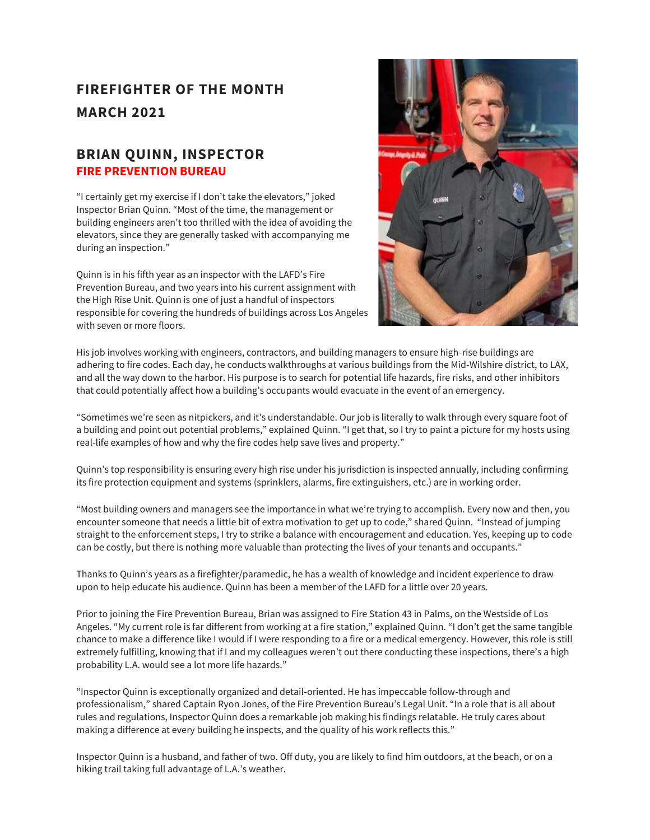## **FIREFIGHTER OF THE MONTH MARCH 2021**

#### **BRIAN QUINN, INSPECTOR FIRE PREVENTION BUREAU**

"I certainly get my exercise if I don't take the elevators," joked Inspector Brian Quinn. "Most of the time, the management or building engineers aren't too thrilled with the idea of avoiding the elevators, since they are generally tasked with accompanying me during an inspection."

Quinn is in his fifth year as an inspector with the LAFD's Fire Prevention Bureau, and two years into his current assignment with the High Rise Unit. Quinn is one of just a handful of inspectors responsible for covering the hundreds of buildings across Los Angeles with seven or more floors.



His job involves working with engineers, contractors, and building managers to ensure high-rise buildings are adhering to fire codes. Each day, he conducts walkthroughs at various buildings from the Mid-Wilshire district, to LAX, and all the way down to the harbor. His purpose is to search for potential life hazards, fire risks, and other inhibitors that could potentially affect how a building's occupants would evacuate in the event of an emergency.

"Sometimes we're seen as nitpickers, and it's understandable. Our job is literally to walk through every square foot of a building and point out potential problems," explained Quinn. "I get that, so I try to paint a picture for my hosts using real-life examples of how and why the fire codes help save lives and property."

Quinn's top responsibility is ensuring every high rise under his jurisdiction is inspected annually, including confirming its fire protection equipment and systems (sprinklers, alarms, fire extinguishers, etc.) are in working order.

"Most building owners and managers see the importance in what we're trying to accomplish. Every now and then, you encounter someone that needs a little bit of extra motivation to get up to code," shared Quinn. "Instead of jumping straight to the enforcement steps, I try to strike a balance with encouragement and education. Yes, keeping up to code can be costly, but there is nothing more valuable than protecting the lives of your tenants and occupants."

Thanks to Quinn's years as a firefighter/paramedic, he has a wealth of knowledge and incident experience to draw upon to help educate his audience. Quinn has been a member of the LAFD for a little over 20 years.

Prior to joining the Fire Prevention Bureau, Brian was assigned to Fire Station 43 in Palms, on the Westside of Los Angeles. "My current role is far different from working at a fire station," explained Quinn. "I don't get the same tangible chance to make a difference like I would if I were responding to a fire or a medical emergency. However, this role is still extremely fulfilling, knowing that if I and my colleagues weren't out there conducting these inspections, there's a high probability L.A. would see a lot more life hazards."

"Inspector Quinn is exceptionally organized and detail-oriented. He has impeccable follow-through and professionalism," shared Captain Ryon Jones, of the Fire Prevention Bureau's Legal Unit. "In a role that is all about rules and regulations, Inspector Quinn does a remarkable job making his findings relatable. He truly cares about making a difference at every building he inspects, and the quality of his work reflects this."

Inspector Quinn is a husband, and father of two. Off duty, you are likely to find him outdoors, at the beach, or on a hiking trail taking full advantage of L.A.'s weather.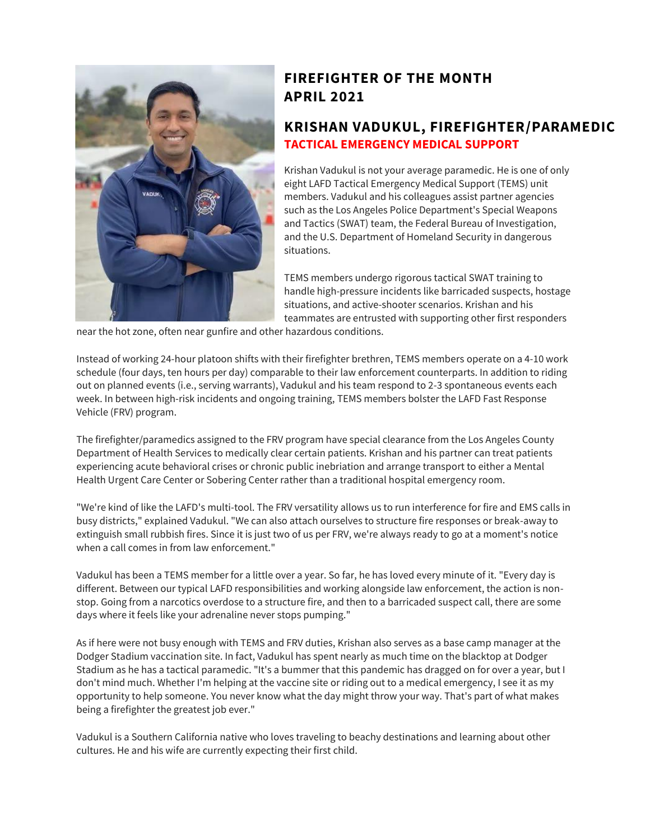

## **FIREFIGHTER OF THE MONTH APRIL 2021**

#### **KRISHAN VADUKUL, FIREFIGHTER/PARAMEDIC TACTICAL EMERGENCY MEDICAL SUPPORT**

Krishan Vadukul is not your average paramedic. He is one of only eight LAFD Tactical Emergency Medical Support (TEMS) unit members. Vadukul and his colleagues assist partner agencies such as the Los Angeles Police Department's Special Weapons and Tactics (SWAT) team, the Federal Bureau of Investigation, and the U.S. Department of Homeland Security in dangerous situations.

TEMS members undergo rigorous tactical SWAT training to handle high-pressure incidents like barricaded suspects, hostage situations, and active-shooter scenarios. Krishan and his teammates are entrusted with supporting other first responders

near the hot zone, often near gunfire and other hazardous conditions.

Instead of working 24-hour platoon shifts with their firefighter brethren, TEMS members operate on a 4-10 work schedule (four days, ten hours per day) comparable to their law enforcement counterparts. In addition to riding out on planned events (i.e., serving warrants), Vadukul and his team respond to 2-3 spontaneous events each week. In between high-risk incidents and ongoing training, TEMS members bolster the LAFD Fast Response Vehicle (FRV) program.

The firefighter/paramedics assigned to the FRV program have special clearance from the Los Angeles County Department of Health Services to medically clear certain patients. Krishan and his partner can treat patients experiencing acute behavioral crises or chronic public inebriation and arrange transport to either a Mental Health Urgent Care Center or Sobering Center rather than a traditional hospital emergency room.

"We're kind of like the LAFD's multi-tool. The FRV versatility allows us to run interference for fire and EMS calls in busy districts," explained Vadukul. "We can also attach ourselves to structure fire responses or break-away to extinguish small rubbish fires. Since it is just two of us per FRV, we're always ready to go at a moment's notice when a call comes in from law enforcement."

Vadukul has been a TEMS member for a little over a year. So far, he has loved every minute of it. "Every day is different. Between our typical LAFD responsibilities and working alongside law enforcement, the action is nonstop. Going from a narcotics overdose to a structure fire, and then to a barricaded suspect call, there are some days where it feels like your adrenaline never stops pumping."

As if here were not busy enough with TEMS and FRV duties, Krishan also serves as a base camp manager at the Dodger Stadium vaccination site. In fact, Vadukul has spent nearly as much time on the blacktop at Dodger Stadium as he has a tactical paramedic. "It's a bummer that this pandemic has dragged on for over a year, but I don't mind much. Whether I'm helping at the vaccine site or riding out to a medical emergency, I see it as my opportunity to help someone. You never know what the day might throw your way. That's part of what makes being a firefighter the greatest job ever."

Vadukul is a Southern California native who loves traveling to beachy destinations and learning about other cultures. He and his wife are currently expecting their first child.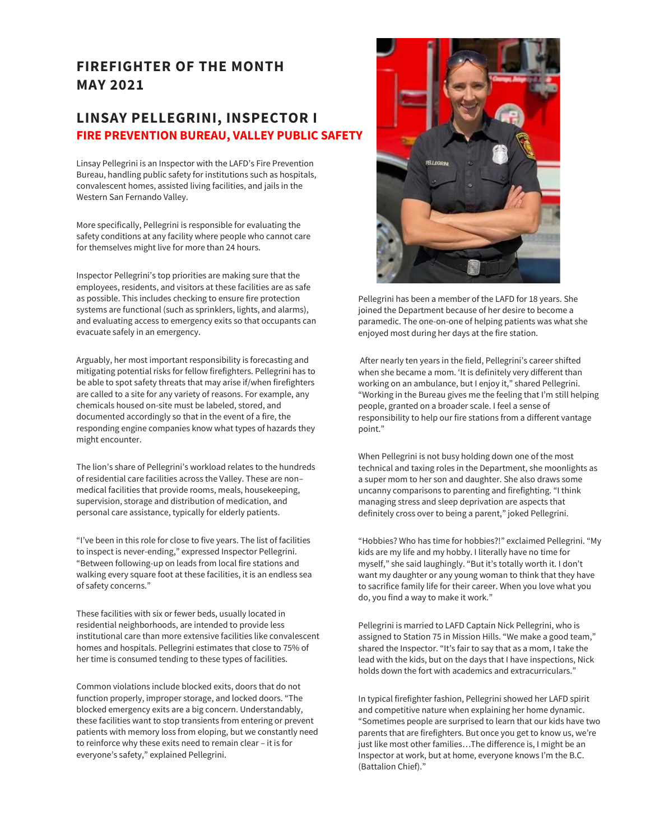#### **FIREFIGHTER OF THE MONTH MAY 2021**

#### **LINSAY PELLEGRINI, INSPECTOR I FIRE PREVENTION BUREAU, VALLEY PUBLIC SAFETY**

Linsay Pellegrini is an Inspector with the LAFD's Fire Prevention Bureau, handling public safety for institutions such as hospitals, convalescent homes, assisted living facilities, and jails in the Western San Fernando Valley.

More specifically, Pellegrini is responsible for evaluating the safety conditions at any facility where people who cannot care for themselves might live for more than 24 hours.

Inspector Pellegrini's top priorities are making sure that the employees, residents, and visitors at these facilities are as safe as possible. This includes checking to ensure fire protection systems are functional (such as sprinklers, lights, and alarms), and evaluating access to emergency exits so that occupants can evacuate safely in an emergency.

Arguably, her most important responsibility is forecasting and mitigating potential risks for fellow firefighters. Pellegrini has to be able to spot safety threats that may arise if/when firefighters are called to a site for any variety of reasons. For example, any chemicals housed on-site must be labeled, stored, and documented accordingly so that in the event of a fire, the responding engine companies know what types of hazards they might encounter.

The lion's share of Pellegrini's workload relates to the hundreds of residential care facilities across the Valley. These are non– medical facilities that provide rooms, meals, housekeeping, supervision, storage and distribution of medication, and personal care assistance, typically for elderly patients.

"I've been in this role for close to five years. The list of facilities to inspect is never-ending," expressed Inspector Pellegrini. "Between following-up on leads from local fire stations and walking every square foot at these facilities, it is an endless sea of safety concerns."

These facilities with six or fewer beds, usually located in residential neighborhoods, are intended to provide less institutional care than more extensive facilities like convalescent homes and hospitals. Pellegrini estimates that close to 75% of her time is consumed tending to these types of facilities.

Common violations include blocked exits, doors that do not function properly, improper storage, and locked doors. "The blocked emergency exits are a big concern. Understandably, these facilities want to stop transients from entering or prevent patients with memory loss from eloping, but we constantly need to reinforce why these exits need to remain clear – it is for everyone's safety," explained Pellegrini.



Pellegrini has been a member of the LAFD for 18 years. She joined the Department because of her desire to become a paramedic. The one-on-one of helping patients was what she enjoyed most during her days at the fire station.

After nearly ten years in the field, Pellegrini's career shifted when she became a mom. 'It is definitely very different than working on an ambulance, but I enjoy it," shared Pellegrini. "Working in the Bureau gives me the feeling that I'm still helping people, granted on a broader scale. I feel a sense of responsibility to help our fire stations from a different vantage point."

When Pellegrini is not busy holding down one of the most technical and taxing roles in the Department, she moonlights as a super mom to her son and daughter. She also draws some uncanny comparisons to parenting and firefighting. "I think managing stress and sleep deprivation are aspects that definitely cross over to being a parent," joked Pellegrini.

"Hobbies? Who has time for hobbies?!" exclaimed Pellegrini. "My kids are my life and my hobby. I literally have no time for myself," she said laughingly. "But it's totally worth it. I don't want my daughter or any young woman to think that they have to sacrifice family life for their career. When you love what you do, you find a way to make it work."

Pellegrini is married to LAFD Captain Nick Pellegrini, who is assigned to Station 75 in Mission Hills. "We make a good team," shared the Inspector. "It's fair to say that as a mom, I take the lead with the kids, but on the days that I have inspections, Nick holds down the fort with academics and extracurriculars."

In typical firefighter fashion, Pellegrini showed her LAFD spirit and competitive nature when explaining her home dynamic. "Sometimes people are surprised to learn that our kids have two parents that are firefighters. But once you get to know us, we're just like most other families...The difference is, I might be an Inspector at work, but at home, everyone knows I'm the B.C. (Battalion Chief)."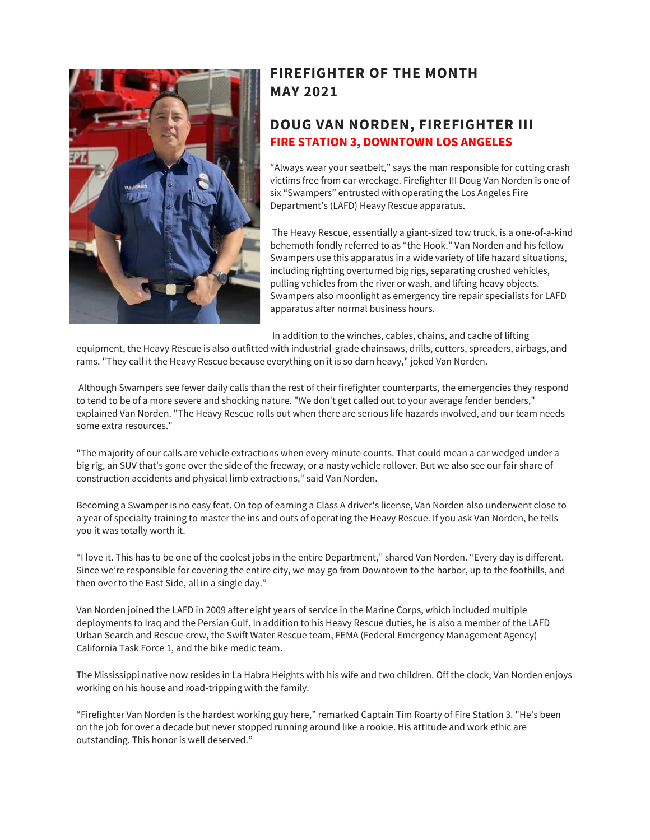

### **FIREFIGHTER OF THE MONTH MAY 2021**

#### **DOUG VAN NORDEN, FIREFIGHTER III FIRE STATION 3, DOWNTOWN LOS ANGELES**

"Always wear your seatbelt," says the man responsible for cutting crash victims free from car wreckage. Firefighter III Doug Van Norden is one of six "Swampers" entrusted with operating the Los Angeles Fire Department's (LAFD) Heavy Rescue apparatus.

The Heavy Rescue, essentially a giant-sized tow truck, is a one-of-a-kind behemoth fondly referred to as "the Hook." Van Norden and his fellow Swampers use this apparatus in a wide variety of life hazard situations, including righting overturned big rigs, separating crushed vehicles, pulling vehicles from the river or wash, and lifting heavy objects. Swampers also moonlight as emergency tire repair specialists for LAFD apparatus after normal business hours.

In addition to the winches, cables, chains, and cache of lifting

equipment, the Heavy Rescue is also outfitted with industrial-grade chainsaws, drills, cutters, spreaders, airbags, and rams. "They call it the Heavy Rescue because everything on it is so darn heavy," joked Van Norden.

Although Swampers see fewer daily calls than the rest of their firefighter counterparts, the emergencies they respond to tend to be of a more severe and shocking nature. "We don't get called out to your average fender benders," explained Van Norden. "The Heavy Rescue rolls out when there are serious life hazards involved, and our team needs some extra resources."

"The majority of our calls are vehicle extractions when every minute counts. That could mean a car wedged under a big rig, an SUV that's gone over the side of the freeway, or a nasty vehicle rollover. But we also see our fair share of construction accidents and physical limb extractions," said Van Norden.

Becoming a Swamper is no easy feat. On top of earning a Class A driver's license, Van Norden also underwent close to a year of specialty training to master the ins and outs of operating the Heavy Rescue. If you ask Van Norden, he tells you it was totally worth it.

"I love it. This has to be one of the coolest jobs in the entire Department," shared Van Norden. "Every day is different. Since we're responsible for covering the entire city, we may go from Downtown to the harbor, up to the foothills, and then over to the East Side, all in a single day."

Van Norden joined the LAFD in 2009 after eight years of service in the Marine Corps, which included multiple deployments to Iraq and the Persian Gulf. In addition to his Heavy Rescue duties, he is also a member of the LAFD Urban Search and Rescue crew, the Swift Water Rescue team, FEMA (Federal Emergency Management Agency) California Task Force 1, and the bike medic team.

The Mississippi native now resides in La Habra Heights with his wife and two children. Off the clock, Van Norden enjoys working on his house and road-tripping with the family.

"Firefighter Van Norden is the hardest working guy here," remarked Captain Tim Roarty of Fire Station 3. "He's been on the job for over a decade but never stopped running around like a rookie. His attitude and work ethic are outstanding. This honor is well deserved."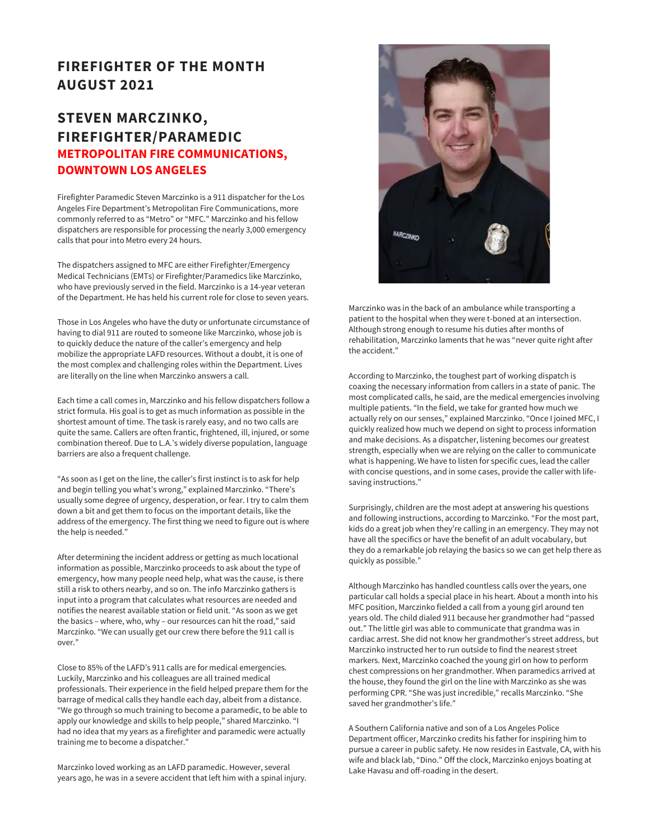#### **FIREFIGHTER OF THE MONTH AUGUST 2021**

#### **STEVEN MARCZINKO, FIREFIGHTER/PARAMEDIC METROPOLITAN FIRE COMMUNICATIONS, DOWNTOWN LOS ANGELES**

Firefighter Paramedic Steven Marczinko is a 911 dispatcher for the Los Angeles Fire Department's Metropolitan Fire Communications, more commonly referred to as "Metro" or "MFC." Marczinko and his fellow dispatchers are responsible for processing the nearly 3,000 emergency calls that pour into Metro every 24 hours.

The dispatchers assigned to MFC are either Firefighter/Emergency Medical Technicians (EMTs) or Firefighter/Paramedics like Marczinko, who have previously served in the field. Marczinko is a 14-year veteran of the Department. He has held his current role for close to seven years.

Those in Los Angeles who have the duty or unfortunate circumstance of having to dial 911 are routed to someone like Marczinko, whose job is to quickly deduce the nature of the caller's emergency and help mobilize the appropriate LAFD resources. Without a doubt, it is one of the most complex and challenging roles within the Department. Lives are literally on the line when Marczinko answers a call.

Each time a call comes in, Marczinko and his fellow dispatchers follow a strict formula. His goal is to get as much information as possible in the shortest amount of time. The task is rarely easy, and no two calls are quite the same. Callers are often frantic, frightened, ill, injured, or some combination thereof. Due to L.A.'s widely diverse population, language barriers are also a frequent challenge.

"As soon as I get on the line, the caller's first instinct is to ask for help and begin telling you what's wrong," explained Marczinko. "There's usually some degree of urgency, desperation, or fear. I try to calm them down a bit and get them to focus on the important details, like the address of the emergency. The first thing we need to figure out is where the help is needed."

After determining the incident address or getting as much locational information as possible, Marczinko proceeds to ask about the type of emergency, how many people need help, what was the cause, is there still a risk to others nearby, and so on. The info Marczinko gathers is input into a program that calculates what resources are needed and notifies the nearest available station or field unit. "As soon as we get the basics – where, who, why – our resources can hit the road," said Marczinko. "We can usually get our crew there before the 911 call is over."

Close to 85% of the LAFD's 911 calls are for medical emergencies. Luckily, Marczinko and his colleagues are all trained medical professionals. Their experience in the field helped prepare them for the barrage of medical calls they handle each day, albeit from a distance. "We go through so much training to become a paramedic, to be able to apply our knowledge and skills to help people," shared Marczinko. "I had no idea that my years as a firefighter and paramedic were actually training me to become a dispatcher."

Marczinko loved working as an LAFD paramedic. However, several years ago, he was in a severe accident that left him with a spinal injury.



Marczinko was in the back of an ambulance while transporting a patient to the hospital when they were t-boned at an intersection. Although strong enough to resume his duties after months of rehabilitation, Marczinko laments that he was "never quite right after the accident."

According to Marczinko, the toughest part of working dispatch is coaxing the necessary information from callers in a state of panic. The most complicated calls, he said, are the medical emergencies involving multiple patients. "In the field, we take for granted how much we actually rely on our senses," explained Marczinko. "Once I joined MFC, I quickly realized how much we depend on sight to process information and make decisions. As a dispatcher, listening becomes our greatest strength, especially when we are relying on the caller to communicate what is happening. We have to listen for specific cues, lead the caller with concise questions, and in some cases, provide the caller with lifesaving instructions."

Surprisingly, children are the most adept at answering his questions and following instructions, according to Marczinko. "For the most part, kids do a great job when they're calling in an emergency. They may not have all the specifics or have the benefit of an adult vocabulary, but they do a remarkable job relaying the basics so we can get help there as quickly as possible."

Although Marczinko has handled countless calls over the years, one particular call holds a special place in his heart. About a month into his MFC position, Marczinko fielded a call from a young girl around ten years old. The child dialed 911 because her grandmother had "passed out." The little girl was able to communicate that grandma was in cardiac arrest. She did not know her grandmother's street address, but Marczinko instructed her to run outside to find the nearest street markers. Next, Marczinko coached the young girl on how to perform chest compressions on her grandmother. When paramedics arrived at the house, they found the girl on the line with Marczinko as she was performing CPR. "She was just incredible," recalls Marczinko. "She saved her grandmother's life."

A Southern California native and son of a Los Angeles Police Department officer, Marczinko credits his father for inspiring him to pursue a career in public safety. He now resides in Eastvale, CA, with his wife and black lab, "Dino." Off the clock, Marczinko enjoys boating at Lake Havasu and off-roading in the desert.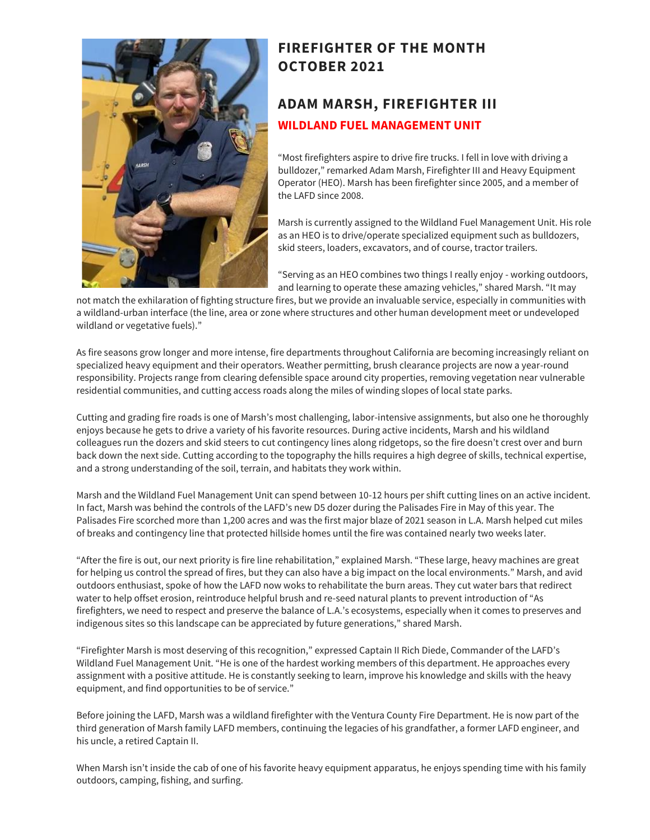

## **FIREFIGHTER OF THE MONTH OCTOBER 2021**

## **ADAM MARSH, FIREFIGHTER III WILDLAND FUEL MANAGEMENT UNIT**

"Most firefighters aspire to drive fire trucks. I fell in love with driving a bulldozer," remarked Adam Marsh, Firefighter III and Heavy Equipment Operator (HEO). Marsh has been firefighter since 2005, and a member of the LAFD since 2008.

Marsh is currently assigned to the Wildland Fuel Management Unit. His role as an HEO is to drive/operate specialized equipment such as bulldozers, skid steers, loaders, excavators, and of course, tractor trailers.

"Serving as an HEO combines two things I really enjoy - working outdoors, and learning to operate these amazing vehicles," shared Marsh. "It may

not match the exhilaration of fighting structure fires, but we provide an invaluable service, especially in communities with a wildland-urban interface (the line, area or zone where structures and other human development meet or undeveloped wildland or vegetative fuels)."

As fire seasons grow longer and more intense, fire departments throughout California are becoming increasingly reliant on specialized heavy equipment and their operators. Weather permitting, brush clearance projects are now a year-round responsibility. Projects range from clearing defensible space around city properties, removing vegetation near vulnerable residential communities, and cutting access roads along the miles of winding slopes of local state parks.

Cutting and grading fire roads is one of Marsh's most challenging, labor-intensive assignments, but also one he thoroughly enjoys because he gets to drive a variety of his favorite resources. During active incidents, Marsh and his wildland colleagues run the dozers and skid steers to cut contingency lines along ridgetops, so the fire doesn't crest over and burn back down the next side. Cutting according to the topography the hills requires a high degree of skills, technical expertise, and a strong understanding of the soil, terrain, and habitats they work within.

Marsh and the Wildland Fuel Management Unit can spend between 10-12 hours per shift cutting lines on an active incident. In fact, Marsh was behind the controls of the LAFD's new D5 dozer during the Palisades Fire in May of this year. The Palisades Fire scorched more than 1,200 acres and was the first major blaze of 2021 season in L.A. Marsh helped cut miles of breaks and contingency line that protected hillside homes until the fire was contained nearly two weeks later.

"After the fire is out, our next priority is fire line rehabilitation," explained Marsh. "These large, heavy machines are great for helping us control the spread of fires, but they can also have a big impact on the local environments." Marsh, and avid outdoors enthusiast, spoke of how the LAFD now woks to rehabilitate the burn areas. They cut water bars that redirect water to help offset erosion, reintroduce helpful brush and re-seed natural plants to prevent introduction of "As firefighters, we need to respect and preserve the balance of L.A.'s ecosystems, especially when it comes to preserves and indigenous sites so this landscape can be appreciated by future generations," shared Marsh.

"Firefighter Marsh is most deserving of this recognition," expressed Captain II Rich Diede, Commander of the LAFD's Wildland Fuel Management Unit. "He is one of the hardest working members of this department. He approaches every assignment with a positive attitude. He is constantly seeking to learn, improve his knowledge and skills with the heavy equipment, and find opportunities to be of service."

Before joining the LAFD, Marsh was a wildland firefighter with the Ventura County Fire Department. He is now part of the third generation of Marsh family LAFD members, continuing the legacies of his grandfather, a former LAFD engineer, and his uncle, a retired Captain II.

When Marsh isn't inside the cab of one of his favorite heavy equipment apparatus, he enjoys spending time with his family outdoors, camping, fishing, and surfing.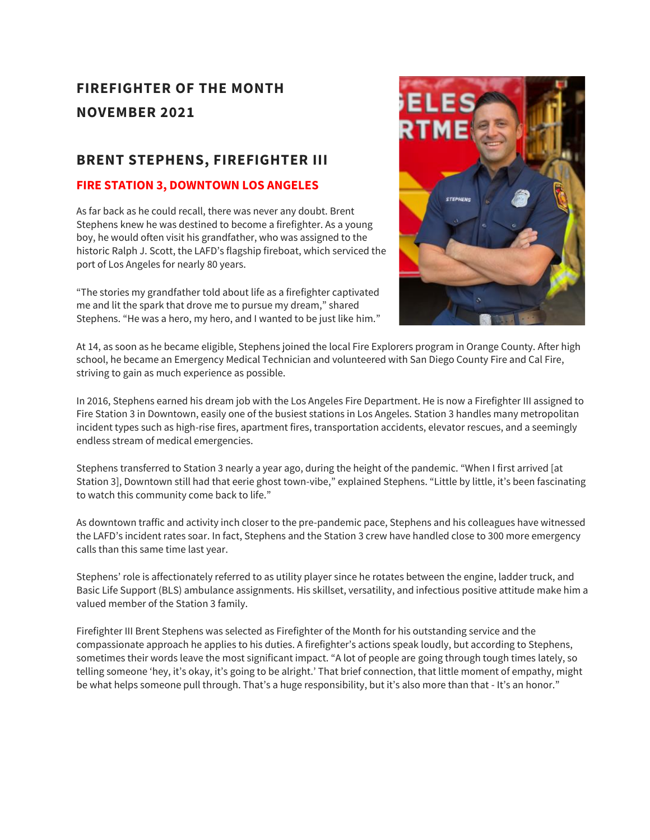## **FIREFIGHTER OF THE MONTH NOVEMBER 2021**

### **BRENT STEPHENS, FIREFIGHTER III**

#### **FIRE STATION 3, DOWNTOWN LOS ANGELES**

As far back as he could recall, there was never any doubt. Brent Stephens knew he was destined to become a firefighter. As a young boy, he would often visit his grandfather, who was assigned to the historic Ralph J. Scott, the LAFD's flagship fireboat, which serviced the port of Los Angeles for nearly 80 years.

"The stories my grandfather told about life as a firefighter captivated me and lit the spark that drove me to pursue my dream," shared Stephens. "He was a hero, my hero, and I wanted to be just like him."



At 14, as soon as he became eligible, Stephens joined the local Fire Explorers program in Orange County. After high school, he became an Emergency Medical Technician and volunteered with San Diego County Fire and Cal Fire, striving to gain as much experience as possible.

In 2016, Stephens earned his dream job with the Los Angeles Fire Department. He is now a Firefighter III assigned to Fire Station 3 in Downtown, easily one of the busiest stations in Los Angeles. Station 3 handles many metropolitan incident types such as high-rise fires, apartment fires, transportation accidents, elevator rescues, and a seemingly endless stream of medical emergencies.

Stephens transferred to Station 3 nearly a year ago, during the height of the pandemic. "When I first arrived [at Station 3], Downtown still had that eerie ghost town-vibe," explained Stephens. "Little by little, it's been fascinating to watch this community come back to life."

As downtown traffic and activity inch closer to the pre-pandemic pace, Stephens and his colleagues have witnessed the LAFD's incident rates soar. In fact, Stephens and the Station 3 crew have handled close to 300 more emergency calls than this same time last year.

Stephens' role is affectionately referred to as utility player since he rotates between the engine, ladder truck, and Basic Life Support (BLS) ambulance assignments. His skillset, versatility, and infectious positive attitude make him a valued member of the Station 3 family.

Firefighter III Brent Stephens was selected as Firefighter of the Month for his outstanding service and the compassionate approach he applies to his duties. A firefighter's actions speak loudly, but according to Stephens, sometimes their words leave the most significant impact. "A lot of people are going through tough times lately, so telling someone 'hey, it's okay, it's going to be alright.' That brief connection, that little moment of empathy, might be what helps someone pull through. That's a huge responsibility, but it's also more than that - It's an honor."